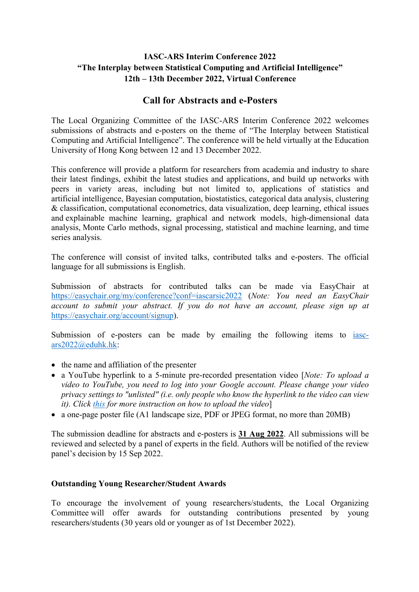## **IASC-ARS Interim Conference 2022 "The Interplay between Statistical Computing and Artificial Intelligence" 12th – 13th December 2022, Virtual Conference**

## **Call for Abstracts and e-Posters**

The Local Organizing Committee of the IASC-ARS Interim Conference 2022 welcomes submissions of abstracts and e-posters on the theme of "The Interplay between Statistical Computing and Artificial Intelligence". The conference will be held virtually at the Education University of Hong Kong between 12 and 13 December 2022.

This conference will provide a platform for researchers from academia and industry to share their latest findings, exhibit the latest studies and applications, and build up networks with peers in variety areas, including but not limited to, applications of statistics and artificial intelligence, Bayesian computation, biostatistics, categorical data analysis, clustering & classification, computational econometrics, data visualization, deep learning, ethical issues and explainable machine learning, graphical and network models, high-dimensional data analysis, Monte Carlo methods, signal processing, statistical and machine learning, and time series analysis.

The conference will consist of invited talks, contributed talks and e-posters. The official language for all submissions is English.

Submission of abstracts for contributed talks can be made via EasyChair at https://easychair.org/my/conference?conf=iascarsic2022 (*Note: You need an EasyChair account to submit your abstract. If you do not have an account, please sign up at* https://easychair.org/account/signup).

Submission of e-posters can be made by emailing the following items to iascars2022@eduhk.hk:

- the name and affiliation of the presenter
- a YouTube hyperlink to a 5-minute pre-recorded presentation video [*Note: To upload a video to YouTube, you need to log into your Google account. Please change your video privacy settings to "unlisted" (i.e. only people who know the hyperlink to the video can view it). Click this for more instruction on how to upload the video*]
- a one-page poster file (A1 landscape size, PDF or JPEG format, no more than 20MB)

The submission deadline for abstracts and e-posters is **31 Aug 2022**. All submissions will be reviewed and selected by a panel of experts in the field. Authors will be notified of the review panel's decision by 15 Sep 2022.

## **Outstanding Young Researcher/Student Awards**

To encourage the involvement of young researchers/students, the Local Organizing Committee will offer awards for outstanding contributions presented by young researchers/students (30 years old or younger as of 1st December 2022).